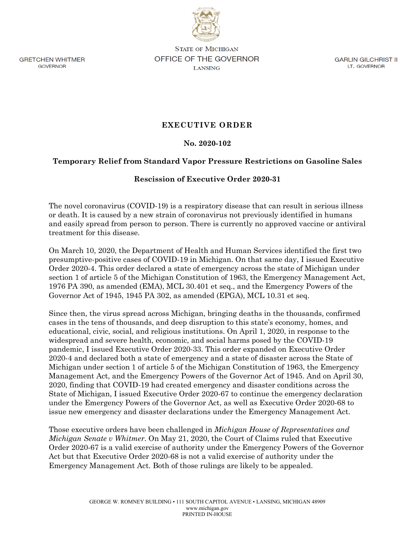

GRETCHEN WHITMER GOVERNOR

STATE OF MICHIGAN **OFFICE OF THE GOVERNOR**  LANSING

GARLIN GILCHRIST II LT. GOVERNOR

## **EXECUTIVE ORDER**

**No. 2020-102** 

## **Temporary Relief from Standard Vapor Pressure Restrictions on Gasoline Sales**

## **Rescission of Executive Order 2020-31**

The novel coronavirus (COVID-19) is a respiratory disease that can result in serious illness or death. It is caused by a new strain of coronavirus not previously identified in humans and easily spread from person to person. There is currently no approved vaccine or antiviral treatment for this disease.

On March 10, 2020, the Department of Health and Human Services identified the first two presumptive-positive cases of COVID-19 in Michigan. On that same day, I issued Executive Order 2020-4. This order declared a state of emergency across the state of Michigan under section 1 of article 5 of the Michigan Constitution of 1963, the Emergency Management Act, 1976 PA 390, as amended (EMA), MCL 30.401 et seq., and the Emergency Powers of the Governor Act of 1945, 1945 PA 302, as amended (EPGA), MCL 10.31 et seq.

Since then, the virus spread across Michigan, bringing deaths in the thousands, confirmed cases in the tens of thousands, and deep disruption to this state's economy, homes, and educational, civic, social, and religious institutions. On April 1, 2020, in response to the widespread and severe health, economic, and social harms posed by the COVID-19 pandemic, I issued Executive Order 2020-33. This order expanded on Executive Order 2020-4 and declared both a state of emergency and a state of disaster across the State of Michigan under section 1 of article 5 of the Michigan Constitution of 1963, the Emergency Management Act, and the Emergency Powers of the Governor Act of 1945. And on April 30, 2020, finding that COVID-19 had created emergency and disaster conditions across the State of Michigan, I issued Executive Order 2020-67 to continue the emergency declaration under the Emergency Powers of the Governor Act, as well as Executive Order 2020-68 to issue new emergency and disaster declarations under the Emergency Management Act.

Those executive orders have been challenged in *Michigan House of Representatives and Michigan Senate v Whitmer*. On May 21, 2020, the Court of Claims ruled that Executive Order 2020-67 is a valid exercise of authority under the Emergency Powers of the Governor Act but that Executive Order 2020-68 is not a valid exercise of authority under the Emergency Management Act. Both of those rulings are likely to be appealed.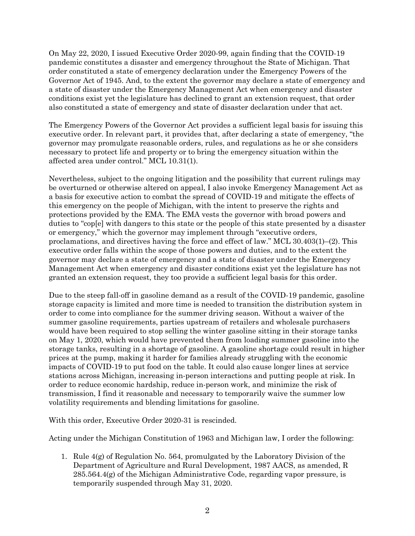On May 22, 2020, I issued Executive Order 2020-99, again finding that the COVID-19 pandemic constitutes a disaster and emergency throughout the State of Michigan. That order constituted a state of emergency declaration under the Emergency Powers of the Governor Act of 1945. And, to the extent the governor may declare a state of emergency and a state of disaster under the Emergency Management Act when emergency and disaster conditions exist yet the legislature has declined to grant an extension request, that order also constituted a state of emergency and state of disaster declaration under that act.

The Emergency Powers of the Governor Act provides a sufficient legal basis for issuing this executive order. In relevant part, it provides that, after declaring a state of emergency, "the governor may promulgate reasonable orders, rules, and regulations as he or she considers necessary to protect life and property or to bring the emergency situation within the affected area under control." MCL 10.31(1).

Nevertheless, subject to the ongoing litigation and the possibility that current rulings may be overturned or otherwise altered on appeal, I also invoke Emergency Management Act as a basis for executive action to combat the spread of COVID-19 and mitigate the effects of this emergency on the people of Michigan, with the intent to preserve the rights and protections provided by the EMA. The EMA vests the governor with broad powers and duties to "cop[e] with dangers to this state or the people of this state presented by a disaster or emergency," which the governor may implement through "executive orders, proclamations, and directives having the force and effect of law." MCL 30.403(1)–(2). This executive order falls within the scope of those powers and duties, and to the extent the governor may declare a state of emergency and a state of disaster under the Emergency Management Act when emergency and disaster conditions exist yet the legislature has not granted an extension request, they too provide a sufficient legal basis for this order.

Due to the steep fall-off in gasoline demand as a result of the COVID-19 pandemic, gasoline storage capacity is limited and more time is needed to transition the distribution system in order to come into compliance for the summer driving season. Without a waiver of the summer gasoline requirements, parties upstream of retailers and wholesale purchasers would have been required to stop selling the winter gasoline sitting in their storage tanks on May 1, 2020, which would have prevented them from loading summer gasoline into the storage tanks, resulting in a shortage of gasoline. A gasoline shortage could result in higher prices at the pump, making it harder for families already struggling with the economic impacts of COVID-19 to put food on the table. It could also cause longer lines at service stations across Michigan, increasing in-person interactions and putting people at risk. In order to reduce economic hardship, reduce in-person work, and minimize the risk of transmission, I find it reasonable and necessary to temporarily waive the summer low volatility requirements and blending limitations for gasoline.

With this order, Executive Order 2020-31 is rescinded.

Acting under the Michigan Constitution of 1963 and Michigan law, I order the following:

1. Rule 4(g) of Regulation No. 564, promulgated by the Laboratory Division of the Department of Agriculture and Rural Development, 1987 AACS, as amended, R 285.564.4(g) of the Michigan Administrative Code, regarding vapor pressure, is temporarily suspended through May 31, 2020.